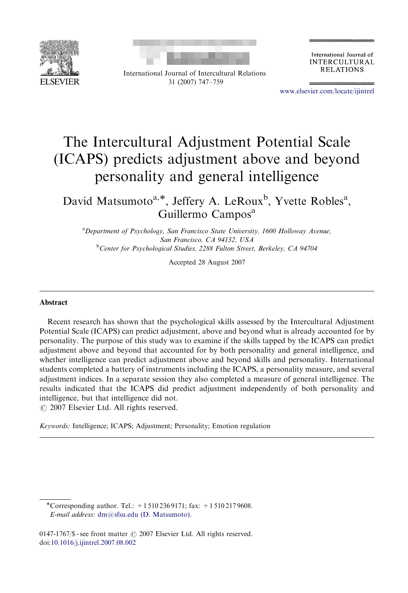



International Journal of Intercultural Relations 31 (2007) 747–759

International Journal of **INTERCULTURAL RELATIONS** 

<www.elsevier.com/locate/ijintrel>

## The Intercultural Adjustment Potential Scale (ICAPS) predicts adjustment above and beyond personality and general intelligence

David Matsumoto<sup>a,\*</sup>, Jeffery A. LeRoux<sup>b</sup>, Yvette Robles<sup>a</sup>, Guillermo Campos<sup>a</sup>

<sup>a</sup> Department of Psychology, San Francisco State University, 1600 Holloway Avenue, San Francisco, CA 94132, USA <sup>b</sup>Center for Psychological Studies, 2288 Fulton Street, Berkeley, CA 94704

Accepted 28 August 2007

## Abstract

Recent research has shown that the psychological skills assessed by the Intercultural Adjustment Potential Scale (ICAPS) can predict adjustment, above and beyond what is already accounted for by personality. The purpose of this study was to examine if the skills tapped by the ICAPS can predict adjustment above and beyond that accounted for by both personality and general intelligence, and whether intelligence can predict adjustment above and beyond skills and personality. International students completed a battery of instruments including the ICAPS, a personality measure, and several adjustment indices. In a separate session they also completed a measure of general intelligence. The results indicated that the ICAPS did predict adjustment independently of both personality and intelligence, but that intelligence did not.  $O$  2007 Elsevier Ltd. All rights reserved.

Keywords: Intelligence; ICAPS; Adjustment; Personality; Emotion regulation

-Corresponding author. Tel.: +1 510 236 9171; fax: +1 510 217 9608. E-mail address: [dm@sfsu.edu \(D. Matsumoto\).](mailto:dm@sfsu.edu)

0147-1767/\$ - see front matter  $\odot$  2007 Elsevier Ltd. All rights reserved. doi[:10.1016/j.ijintrel.2007.08.002](dx.doi.org/10.1016/j.ijintrel.2007.08.002)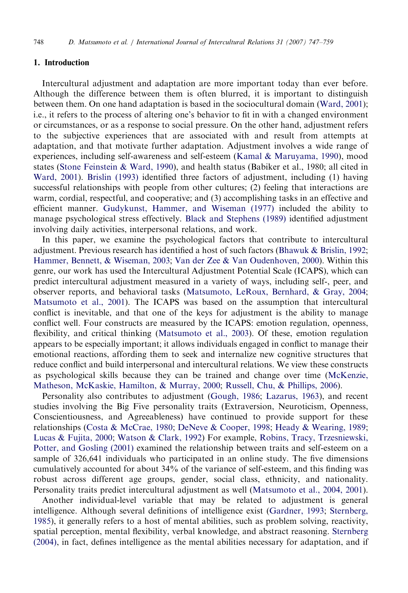## 1. Introduction

Intercultural adjustment and adaptation are more important today than ever before. Although the difference between them is often blurred, it is important to distinguish between them. On one hand adaptation is based in the sociocultural domain ([Ward, 2001](#page--1-0)); i.e., it refers to the process of altering one's behavior to fit in with a changed environment or circumstances, or as a response to social pressure. On the other hand, adjustment refers to the subjective experiences that are associated with and result from attempts at adaptation, and that motivate further adaptation. Adjustment involves a wide range of experiences, including self-awareness and self-esteem [\(Kamal & Maruyama, 1990](#page--1-0)), mood states [\(Stone Feinstein & Ward, 1990\)](#page--1-0), and health status (Babiker et al., 1980; all cited in [Ward, 2001\)](#page--1-0). [Brislin \(1993\)](#page--1-0) identified three factors of adjustment, including (1) having successful relationships with people from other cultures; (2) feeling that interactions are warm, cordial, respectful, and cooperative; and (3) accomplishing tasks in an effective and efficient manner. [Gudykunst, Hammer, and Wiseman \(1977\)](#page--1-0) included the ability to manage psychological stress effectively. [Black and Stephens \(1989\)](#page--1-0) identified adjustment involving daily activities, interpersonal relations, and work.

In this paper, we examine the psychological factors that contribute to intercultural adjustment. Previous research has identified a host of such factors ([Bhawuk](#page--1-0) & [Brislin, 1992;](#page--1-0) [Hammer, Bennett, & Wiseman, 2003;](#page--1-0) [Van der Zee & Van Oudenhoven, 2000](#page--1-0)). Within this genre, our work has used the Intercultural Adjustment Potential Scale (ICAPS), which can predict intercultural adjustment measured in a variety of ways, including self-, peer, and observer reports, and behavioral tasks ([Matsumoto, LeRoux, Bernhard, & Gray, 2004;](#page--1-0) [Matsumoto et al., 2001](#page--1-0)). The ICAPS was based on the assumption that intercultural conflict is inevitable, and that one of the keys for adjustment is the ability to manage conflict well. Four constructs are measured by the ICAPS: emotion regulation, openness, flexibility, and critical thinking ([Matsumoto et al., 2003](#page--1-0)). Of these, emotion regulation appears to be especially important; it allows individuals engaged in conflict to manage their emotional reactions, affording them to seek and internalize new cognitive structures that reduce conflict and build interpersonal and intercultural relations. We view these constructs as psychological skills because they can be trained and change over time [\(McKenzie,](#page--1-0) [Matheson, McKaskie, Hamilton,](#page--1-0) & [Murray, 2000;](#page--1-0) [Russell, Chu, & Phillips, 2006\)](#page--1-0).

Personality also contributes to adjustment ([Gough, 1986](#page--1-0); [Lazarus, 1963](#page--1-0)), and recent studies involving the Big Five personality traits (Extraversion, Neuroticism, Openness, Conscientiousness, and Agreeableness) have continued to provide support for these relationships [\(Costa](#page--1-0) & [McCrae, 1980](#page--1-0); [DeNeve & Cooper, 1998;](#page--1-0) [Heady & Wearing, 1989;](#page--1-0) [Lucas & Fujita, 2000](#page--1-0); [Watson & Clark, 1992](#page--1-0)) For example, [Robins, Tracy, Trzesniewski,](#page--1-0) [Potter, and Gosling \(2001\)](#page--1-0) examined the relationship between traits and self-esteem on a sample of 326,641 individuals who participated in an online study. The five dimensions cumulatively accounted for about 34% of the variance of self-esteem, and this finding was robust across different age groups, gender, social class, ethnicity, and nationality. Personality traits predict intercultural adjustment as well ([Matsumoto et al., 2004, 2001](#page--1-0)).

Another individual-level variable that may be related to adjustment is general intelligence. Although several definitions of intelligence exist [\(Gardner, 1993;](#page--1-0) [Sternberg,](#page--1-0) [1985](#page--1-0)), it generally refers to a host of mental abilities, such as problem solving, reactivity, spatial perception, mental flexibility, verbal knowledge, and abstract reasoning. [Sternberg](#page--1-0) [\(2004\),](#page--1-0) in fact, defines intelligence as the mental abilities necessary for adaptation, and if